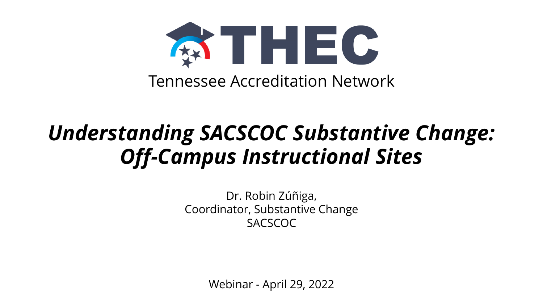

# *Understanding SACSCOC Substantive Change: Off-Campus Instructional Sites*

Dr. Robin Zúñiga, Coordinator, Substantive Change SACSCOC

Webinar - April 29, 2022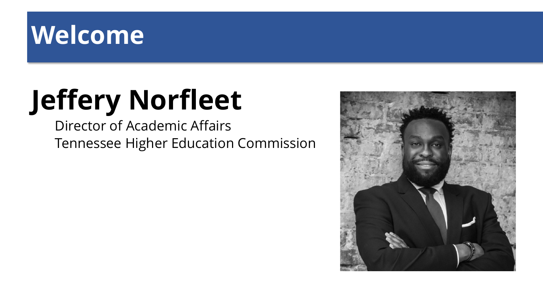# **Welcome**

# **Jeffery Norfleet**

Director of Academic Affairs Tennessee Higher Education Commission

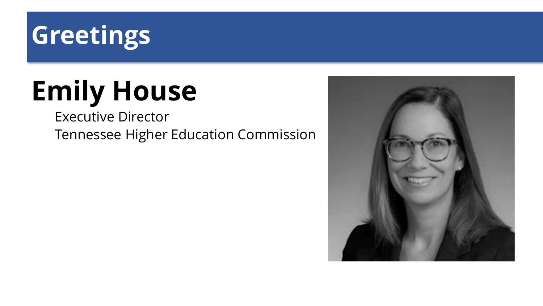

# **Emily House**

Executive Director Tennessee Higher Education Commission

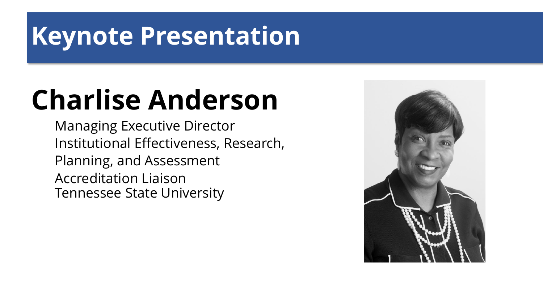# **Keynote Presentation**

# **Charlise Anderson**

Managing Executive Director Institutional Effectiveness, Research, Planning, and Assessment Accreditation Liaison Tennessee State University

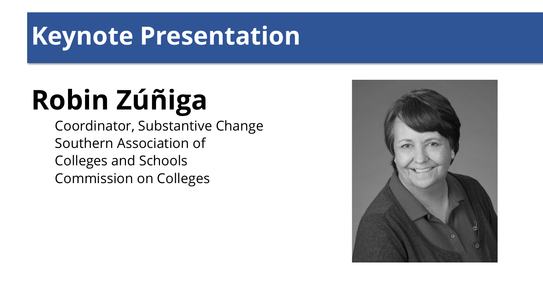# **Keynote Presentation**

# **Robin Zúñiga**

Coordinator, Substantive Change Southern Association of Colleges and Schools Commission on Colleges

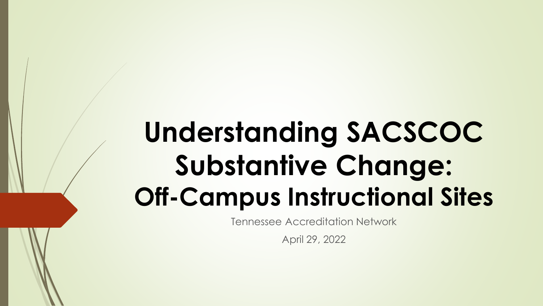# **Understanding SACSCOC Substantive Change: Off-Campus Instructional Sites**

Tennessee Accreditation Network

April 29, 2022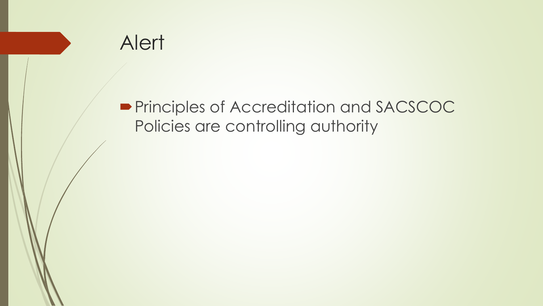

#### **Principles of Accreditation and SACSCOC** Policies are controlling authority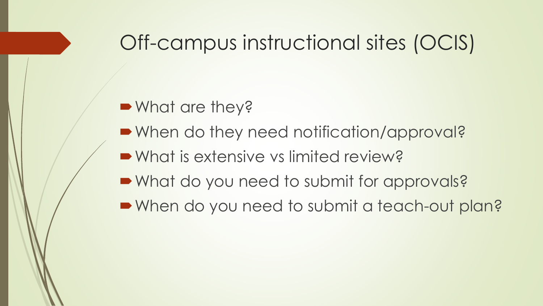### Off-campus instructional sites (OCIS)

■ What are they?

- When do they need notification/approval?
- What is extensive vs limited review?
- What do you need to submit for approvals?
- When do you need to submit a teach-out plan?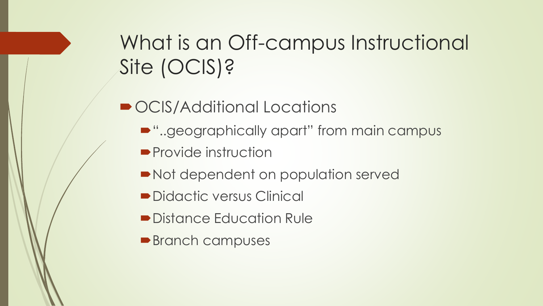# What is an Off-campus Instructional Site (OCIS)?

- OCIS/Additional Locations
	- "..geographically apart" from main campus
	- **Provide instruction**
	- Not dependent on population served
	- Didactic versus Clinical
	- **Distance Education Rule**
	- **Branch campuses**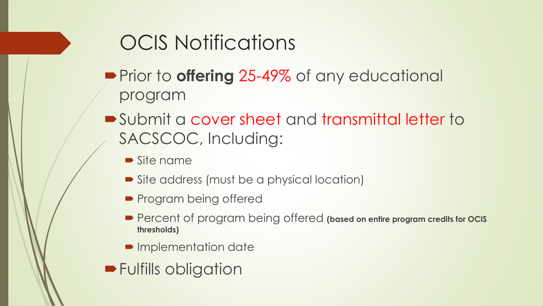# OCIS Notifications

- **Prior to offering 25-49% of any educational** program
- Submit a cover sheet and transmittal letter to SACSCOC, Including:
	- Site name
	- Site address (must be a physical location)
	- **Program being offered**
	- Percent of program being offered (based on entire program credits for **ocis thresholds)**
	- **Implementation date**
- **Fulfills obligation**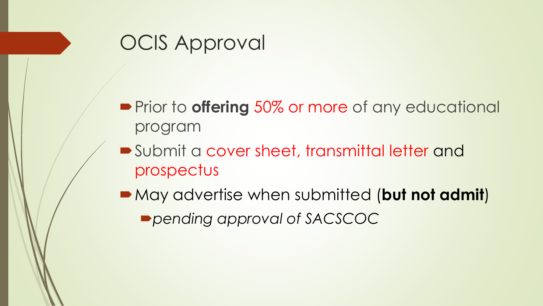### OCIS Approval

- **Prior to offering 50% or more of any educational** program
- Submit a cover sheet, transmittal letter and prospectus
- May advertise when submitted (**but not admit**) *pending approval of SACSCOC*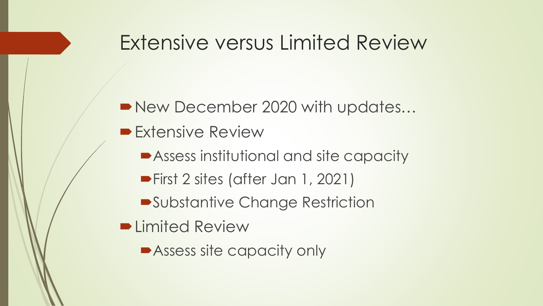### Extensive versus Limited Review

#### New December 2020 with updates...

- **Extensive Review** 
	- Assess institutional and site capacity
	- **First 2 sites (after Jan 1, 2021)**
	- Substantive Change Restriction
- **D** Limited Review
	- **Assess site capacity only**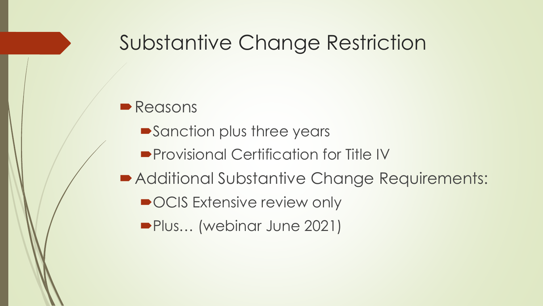### Substantive Change Restriction

#### **Reasons**

- **Sanction plus three years**
- **Provisional Certification for Title IV**
- Additional Substantive Change Requirements:
	- OCIS Extensive review only
	- Plus… (webinar June 2021)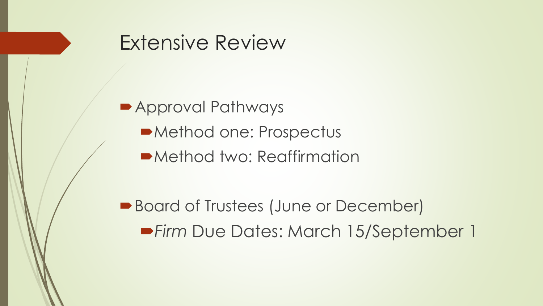#### Extensive Review

■ Approval Pathways

Method one: Prospectus

Method two: Reaffirmation

■ Board of Trustees (June or December) *Firm* Due Dates: March 15/September 1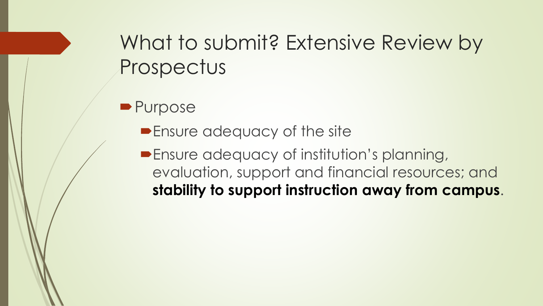## What to submit? Extensive Review by Prospectus

**Purpose** 

**Ensure adequacy of the site** 

**Ensure adequacy of institution's planning,** evaluation, support and financial resources; and **stability to support instruction away from campus**.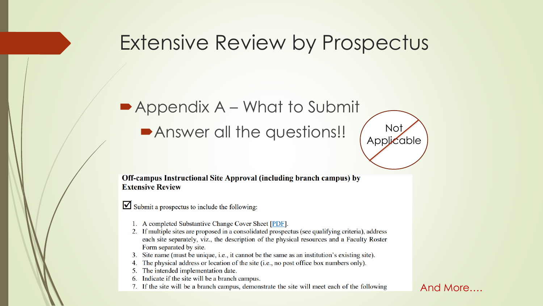#### Extensive Review by Prospectus

### Appendix A – What to Submit Answer all the questions!! (Applice



Submit a prospectus to include the following:

- 1. A completed Substantive Change Cover Sheet [PDF].
- 2. If multiple sites are proposed in a consolidated prospectus (see qualifying criteria), address each site separately, viz., the description of the physical resources and a Faculty Roster Form separated by site.
- 3. Site name (must be unique, i.e., it cannot be the same as an institution's existing site).
- The physical address or location of the site (i.e., no post office box numbers only).
- 5. The intended implementation date.
- Indicate if the site will be a branch campus.
- 7. If the site will be a branch campus, demonstrate the site will meet each of the following

#### And More….

**Applicable**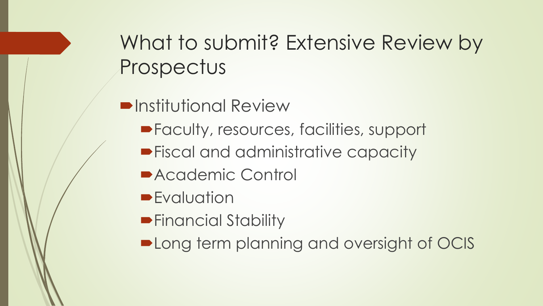What to submit? Extensive Review by Prospectus

- $\blacksquare$ **Institutional Review** 
	- Faculty, resources, facilities, support
	- **Fiscal and administrative capacity**
	- Academic Control
	- **Evaluation**
	- **Financial Stability**
	- **-Long term planning and oversight of OCIS**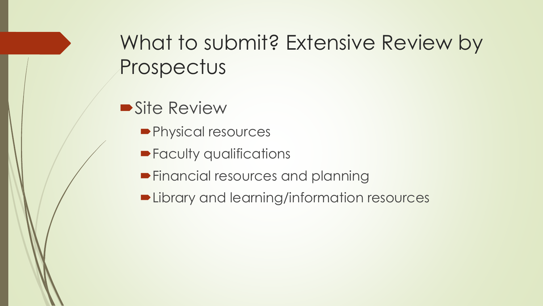## What to submit? Extensive Review by Prospectus

**Site Review** 

- Physical resources
- **Faculty qualifications**
- **Financial resources and planning**
- **Delibrary and learning/information resources**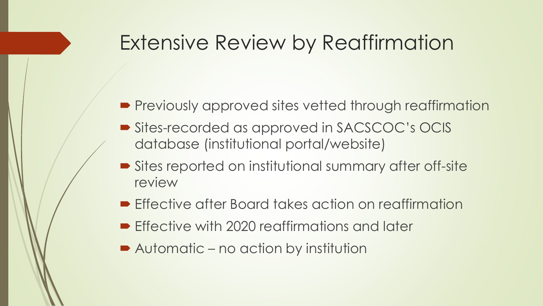#### Extensive Review by Reaffirmation

- **Previously approved sites vetted through reaffirmation**
- Sites-recorded as approved in SACSCOC's OCIS database (institutional portal/website)
- Sites reported on institutional summary after off-site review
- **Effective after Board takes action on reaffirmation**
- **Effective with 2020 reaffirmations and later**
- Automatic no action by institution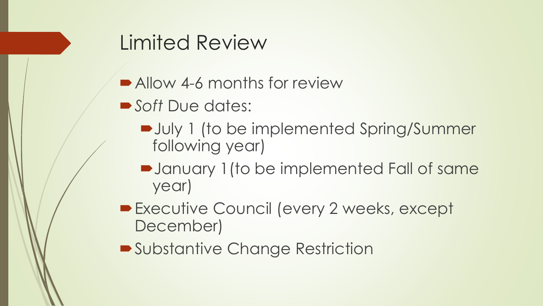### Limited Review

- Allow 4-6 months for review
- *Soft* Due dates:
	- July 1 (to be implemented Spring/Summer following year)
	- January 1(to be implemented Fall of same year)
- **Executive Council (every 2 weeks, except** December)
- ■Substantive Change Restriction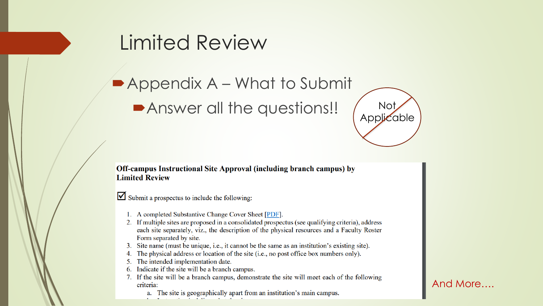#### Limited Review

■ Appendix A – What to Submit

Answer all the questions!! ( Not



#### Off-campus Instructional Site Approval (including branch campus) by **Limited Review**

 $\triangleright$  Submit a prospectus to include the following:

- 1. A completed Substantive Change Cover Sheet [PDF].
- 2. If multiple sites are proposed in a consolidated prospectus (see qualifying criteria), address each site separately, viz., the description of the physical resources and a Faculty Roster Form separated by site.
- 3. Site name (must be unique, i.e., it cannot be the same as an institution's existing site).
- The physical address or location of the site (i.e., no post office box numbers only).
- 5. The intended implementation date.
- Indicate if the site will be a branch campus. 6.
- 7. If the site will be a branch campus, demonstrate the site will meet each of the following criteria:
	- a. The site is geographically apart from an institution's main campus.

#### And More….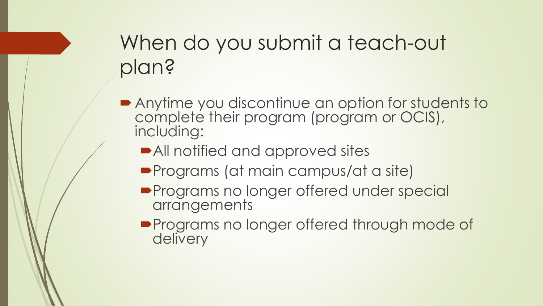# When do you submit a teach-out plan?

- Anytime you discontinue an option for students to complete their program (program or OCIS), including:
	- All notified and approved sites
	- **Programs (at main campus/at a site)**
	- **Programs no longer offered under special** arrangements
	- **Programs no longer offered through mode of** delivery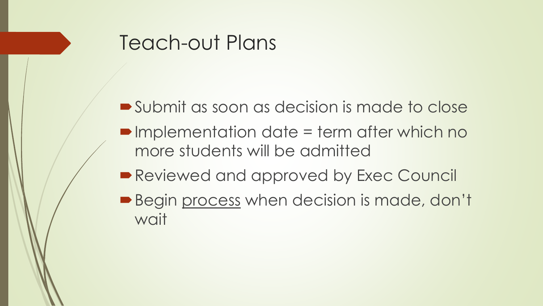#### Teach-out Plans

- Submit as soon as decision is made to close
- ■Implementation date = term after which no more students will be admitted
- Reviewed and approved by Exec Council
- **Begin process when decision is made, don't** wait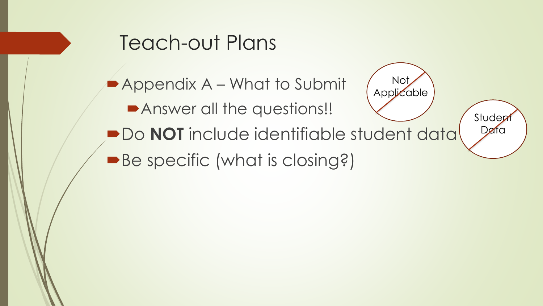#### Teach-out Plans

**Appendix A – What to Submit Answer all the questions!! PDo NOT** include identifiable student data ■Be specific (what is closing?) Not Applicable Student Data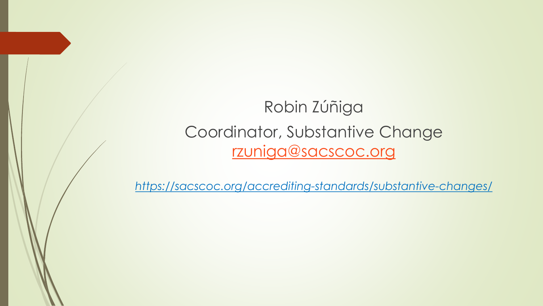Robin Zúñiga Coordinator, Substantive Change [rzuniga@sacscoc.org](mailto:rzuniga@sacscoc.org)

*https://sacscoc.org/accrediting-standards/substantive-changes/*